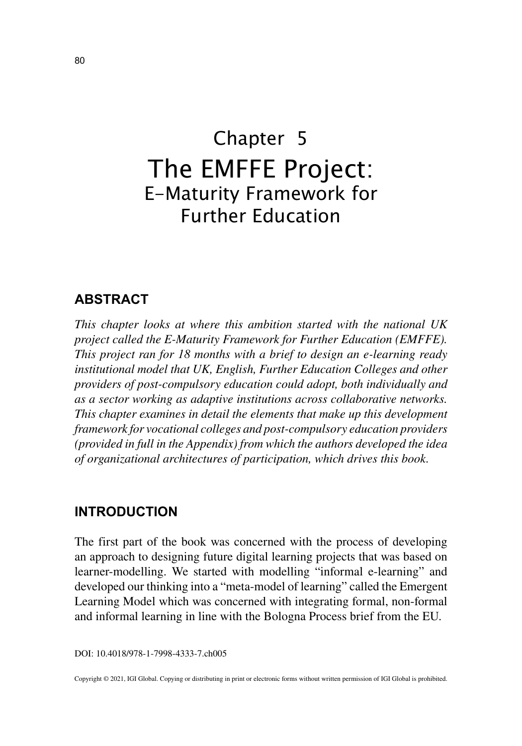# Chapter 5 The EMFFE Project: E-Maturity Framework for Further Education

## **ABSTRACT**

*This chapter looks at where this ambition started with the national UK project called the E-Maturity Framework for Further Education (EMFFE). This project ran for 18 months with a brief to design an e-learning ready institutional model that UK, English, Further Education Colleges and other providers of post-compulsory education could adopt, both individually and as a sector working as adaptive institutions across collaborative networks. This chapter examines in detail the elements that make up this development framework for vocational colleges and post-compulsory education providers (provided in full in the Appendix) from which the authors developed the idea of organizational architectures of participation, which drives this book.*

#### **INTRODUCTION**

The first part of the book was concerned with the process of developing an approach to designing future digital learning projects that was based on learner-modelling. We started with modelling "informal e-learning" and developed our thinking into a "meta-model of learning" called the Emergent Learning Model which was concerned with integrating formal, non-formal and informal learning in line with the Bologna Process brief from the EU.

DOI: 10.4018/978-1-7998-4333-7.ch005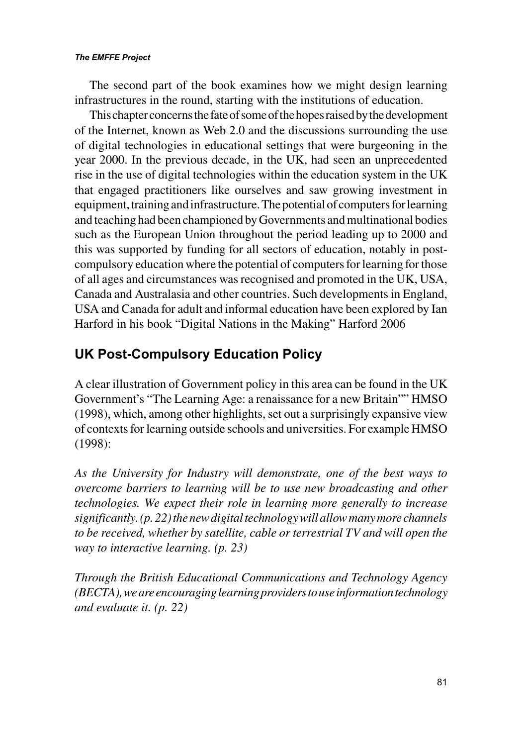#### *The EMFFE Project*

The second part of the book examines how we might design learning infrastructures in the round, starting with the institutions of education.

This chapter concerns the fate of some of the hopes raised by the development of the Internet, known as Web 2.0 and the discussions surrounding the use of digital technologies in educational settings that were burgeoning in the year 2000. In the previous decade, in the UK, had seen an unprecedented rise in the use of digital technologies within the education system in the UK that engaged practitioners like ourselves and saw growing investment in equipment, training and infrastructure. The potential of computers for learning and teaching had been championed by Governments and multinational bodies such as the European Union throughout the period leading up to 2000 and this was supported by funding for all sectors of education, notably in postcompulsory education where the potential of computers for learning for those of all ages and circumstances was recognised and promoted in the UK, USA, Canada and Australasia and other countries. Such developments in England, USA and Canada for adult and informal education have been explored by Ian Harford in his book "Digital Nations in the Making" Harford 2006

# **UK Post-Compulsory Education Policy**

A clear illustration of Government policy in this area can be found in the UK Government's "The Learning Age: a renaissance for a new Britain"" HMSO (1998), which, among other highlights, set out a surprisingly expansive view of contexts for learning outside schools and universities. For example HMSO (1998):

*As the University for Industry will demonstrate, one of the best ways to overcome barriers to learning will be to use new broadcasting and other technologies. We expect their role in learning more generally to increase significantly. (p. 22) the new digital technology will allow many more channels to be received, whether by satellite, cable or terrestrial TV and will open the way to interactive learning. (p. 23)*

*Through the British Educational Communications and Technology Agency (BECTA), we are encouraging learning providers to use information technology and evaluate it. (p. 22)*